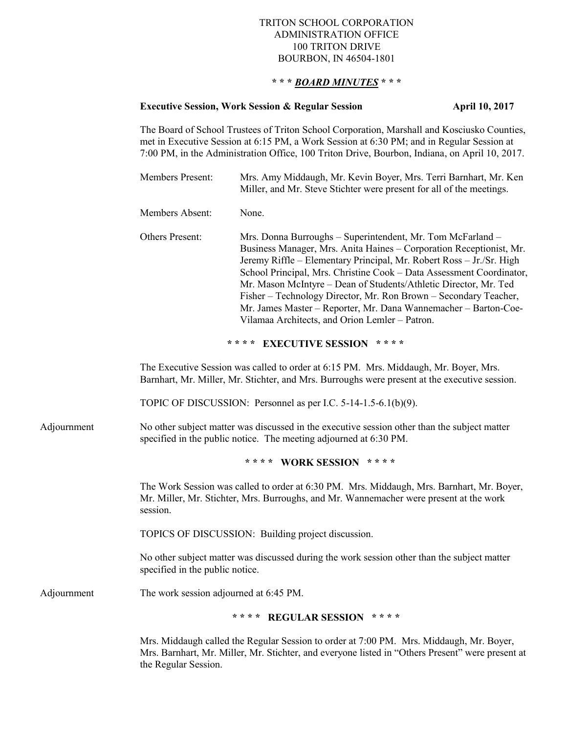## TRITON SCHOOL CORPORATION ADMINISTRATION OFFICE 100 TRITON DRIVE BOURBON, IN 46504-1801

## **\* \* \*** *BOARD MINUTES* **\* \* \***

## **Executive Session, Work Session & Regular Session April 10, 2017**

The Board of School Trustees of Triton School Corporation, Marshall and Kosciusko Counties, met in Executive Session at 6:15 PM, a Work Session at 6:30 PM; and in Regular Session at 7:00 PM, in the Administration Office, 100 Triton Drive, Bourbon, Indiana, on April 10, 2017.

| Members Present: | Mrs. Amy Middaugh, Mr. Kevin Boyer, Mrs. Terri Barnhart, Mr. Ken     |
|------------------|----------------------------------------------------------------------|
|                  | Miller, and Mr. Steve Stichter were present for all of the meetings. |

Members Absent: None.

Others Present: Mrs. Donna Burroughs – Superintendent, Mr. Tom McFarland – Business Manager, Mrs. Anita Haines – Corporation Receptionist, Mr. Jeremy Riffle – Elementary Principal, Mr. Robert Ross – Jr./Sr. High School Principal, Mrs. Christine Cook – Data Assessment Coordinator, Mr. Mason McIntyre – Dean of Students/Athletic Director, Mr. Ted Fisher – Technology Director, Mr. Ron Brown – Secondary Teacher, Mr. James Master – Reporter, Mr. Dana Wannemacher – Barton-Coe-Vilamaa Architects, and Orion Lemler – Patron.

**\* \* \* \* EXECUTIVE SESSION \* \* \* \***

The Executive Session was called to order at 6:15 PM. Mrs. Middaugh, Mr. Boyer, Mrs. Barnhart, Mr. Miller, Mr. Stichter, and Mrs. Burroughs were present at the executive session.

TOPIC OF DISCUSSION: Personnel as per I.C. 5-14-1.5-6.1(b)(9).

Adjournment No other subject matter was discussed in the executive session other than the subject matter specified in the public notice. The meeting adjourned at 6:30 PM.

**\* \* \* \* WORK SESSION \* \* \* \***

The Work Session was called to order at 6:30 PM. Mrs. Middaugh, Mrs. Barnhart, Mr. Boyer, Mr. Miller, Mr. Stichter, Mrs. Burroughs, and Mr. Wannemacher were present at the work session.

TOPICS OF DISCUSSION: Building project discussion.

No other subject matter was discussed during the work session other than the subject matter specified in the public notice.

Adjournment The work session adjourned at 6:45 PM.

## **\* \* \* \* REGULAR SESSION \* \* \* \***

Mrs. Middaugh called the Regular Session to order at 7:00 PM. Mrs. Middaugh, Mr. Boyer, Mrs. Barnhart, Mr. Miller, Mr. Stichter, and everyone listed in "Others Present" were present at the Regular Session.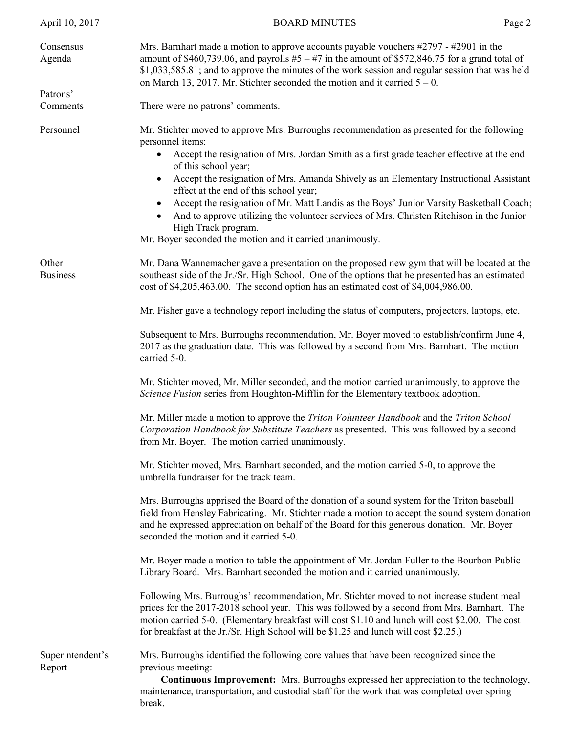| April 10, 2017             | <b>BOARD MINUTES</b>                                                                                                                                                                                                                                                                                                                                                                                                                                                                                                                                                                                                                                            | Page 2 |
|----------------------------|-----------------------------------------------------------------------------------------------------------------------------------------------------------------------------------------------------------------------------------------------------------------------------------------------------------------------------------------------------------------------------------------------------------------------------------------------------------------------------------------------------------------------------------------------------------------------------------------------------------------------------------------------------------------|--------|
| Consensus<br>Agenda        | Mrs. Barnhart made a motion to approve accounts payable vouchers $\#2797 - \#2901$ in the<br>amount of \$460,739.06, and payrolls $#5 - #7$ in the amount of \$572,846.75 for a grand total of<br>\$1,033,585.81; and to approve the minutes of the work session and regular session that was held<br>on March 13, 2017. Mr. Stichter seconded the motion and it carried $5 - 0$ .                                                                                                                                                                                                                                                                              |        |
| Patrons'<br>Comments       | There were no patrons' comments.                                                                                                                                                                                                                                                                                                                                                                                                                                                                                                                                                                                                                                |        |
| Personnel                  | Mr. Stichter moved to approve Mrs. Burroughs recommendation as presented for the following<br>personnel items:<br>Accept the resignation of Mrs. Jordan Smith as a first grade teacher effective at the end<br>of this school year;<br>Accept the resignation of Mrs. Amanda Shively as an Elementary Instructional Assistant<br>$\bullet$<br>effect at the end of this school year;<br>Accept the resignation of Mr. Matt Landis as the Boys' Junior Varsity Basketball Coach;<br>And to approve utilizing the volunteer services of Mrs. Christen Ritchison in the Junior<br>High Track program.<br>Mr. Boyer seconded the motion and it carried unanimously. |        |
| Other<br><b>Business</b>   | Mr. Dana Wannemacher gave a presentation on the proposed new gym that will be located at the<br>southeast side of the Jr./Sr. High School. One of the options that he presented has an estimated<br>cost of \$4,205,463.00. The second option has an estimated cost of \$4,004,986.00.                                                                                                                                                                                                                                                                                                                                                                          |        |
|                            | Mr. Fisher gave a technology report including the status of computers, projectors, laptops, etc.                                                                                                                                                                                                                                                                                                                                                                                                                                                                                                                                                                |        |
|                            | Subsequent to Mrs. Burroughs recommendation, Mr. Boyer moved to establish/confirm June 4,<br>2017 as the graduation date. This was followed by a second from Mrs. Barnhart. The motion<br>carried 5-0.                                                                                                                                                                                                                                                                                                                                                                                                                                                          |        |
|                            | Mr. Stichter moved, Mr. Miller seconded, and the motion carried unanimously, to approve the<br>Science Fusion series from Houghton-Mifflin for the Elementary textbook adoption.                                                                                                                                                                                                                                                                                                                                                                                                                                                                                |        |
|                            | Mr. Miller made a motion to approve the <i>Triton Volunteer Handbook</i> and the <i>Triton School</i><br>Corporation Handbook for Substitute Teachers as presented. This was followed by a second<br>from Mr. Boyer. The motion carried unanimously.                                                                                                                                                                                                                                                                                                                                                                                                            |        |
|                            | Mr. Stichter moved, Mrs. Barnhart seconded, and the motion carried 5-0, to approve the<br>umbrella fundraiser for the track team.                                                                                                                                                                                                                                                                                                                                                                                                                                                                                                                               |        |
|                            | Mrs. Burroughs apprised the Board of the donation of a sound system for the Triton baseball<br>field from Hensley Fabricating. Mr. Stichter made a motion to accept the sound system donation<br>and he expressed appreciation on behalf of the Board for this generous donation. Mr. Boyer<br>seconded the motion and it carried 5-0.                                                                                                                                                                                                                                                                                                                          |        |
|                            | Mr. Boyer made a motion to table the appointment of Mr. Jordan Fuller to the Bourbon Public<br>Library Board. Mrs. Barnhart seconded the motion and it carried unanimously.                                                                                                                                                                                                                                                                                                                                                                                                                                                                                     |        |
|                            | Following Mrs. Burroughs' recommendation, Mr. Stichter moved to not increase student meal<br>prices for the 2017-2018 school year. This was followed by a second from Mrs. Barnhart. The<br>motion carried 5-0. (Elementary breakfast will cost \$1.10 and lunch will cost \$2.00. The cost<br>for breakfast at the Jr./Sr. High School will be \$1.25 and lunch will cost \$2.25.)                                                                                                                                                                                                                                                                             |        |
| Superintendent's<br>Report | Mrs. Burroughs identified the following core values that have been recognized since the<br>previous meeting:<br><b>Continuous Improvement:</b> Mrs. Burroughs expressed her appreciation to the technology,<br>maintenance, transportation, and custodial staff for the work that was completed over spring<br>break.                                                                                                                                                                                                                                                                                                                                           |        |